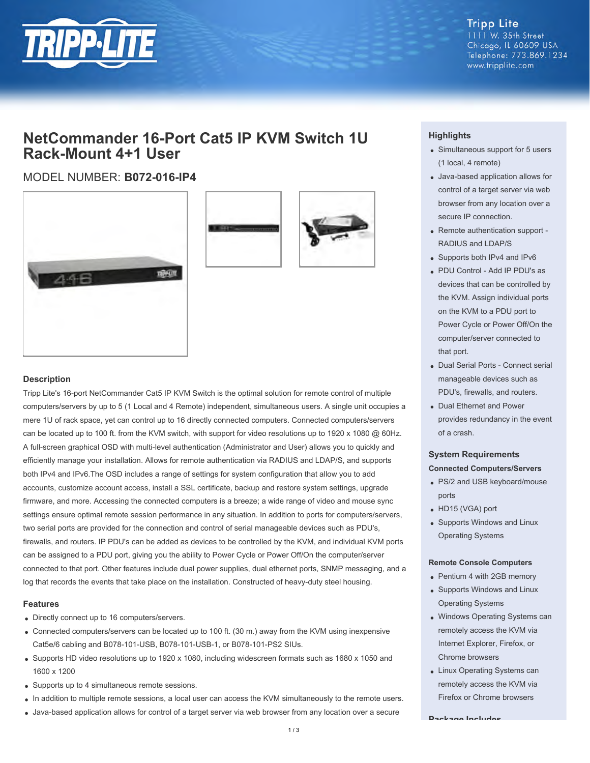

**Tripp Lite** 1111 W. 35th Street Chicago, IL 60609 USA Telephone: 773.869.1234 www.tripplite.com

# **NetCommander 16-Port Cat5 IP KVM Switch 1U Rack-Mount 4+1 User**

## MODEL NUMBER: **B072-016-IP4**





#### **Description**

Tripp Lite's 16-port NetCommander Cat5 IP KVM Switch is the optimal solution for remote control of multiple computers/servers by up to 5 (1 Local and 4 Remote) independent, simultaneous users. A single unit occupies a mere 1U of rack space, yet can control up to 16 directly connected computers. Connected computers/servers can be located up to 100 ft. from the KVM switch, with support for video resolutions up to 1920 x 1080 @ 60Hz. A full-screen graphical OSD with multi-level authentication (Administrator and User) allows you to quickly and efficiently manage your installation. Allows for remote authentication via RADIUS and LDAP/S, and supports both IPv4 and IPv6.The OSD includes a range of settings for system configuration that allow you to add accounts, customize account access, install a SSL certificate, backup and restore system settings, upgrade firmware, and more. Accessing the connected computers is a breeze; a wide range of video and mouse sync settings ensure optimal remote session performance in any situation. In addition to ports for computers/servers, two serial ports are provided for the connection and control of serial manageable devices such as PDU's, firewalls, and routers. IP PDU's can be added as devices to be controlled by the KVM, and individual KVM ports can be assigned to a PDU port, giving you the ability to Power Cycle or Power Off/On the computer/server connected to that port. Other features include dual power supplies, dual ethernet ports, SNMP messaging, and a log that records the events that take place on the installation. Constructed of heavy-duty steel housing.

#### **Features**

- Directly connect up to 16 computers/servers.
- Connected computers/servers can be located up to 100 ft. (30 m.) away from the KVM using inexpensive Cat5e/6 cabling and B078-101-USB, B078-101-USB-1, or B078-101-PS2 SIUs.
- Supports HD video resolutions up to 1920 x 1080, including widescreen formats such as 1680 x 1050 and 1600 x 1200
- Supports up to 4 simultaneous remote sessions.
- In addition to multiple remote sessions, a local user can access the KVM simultaneously to the remote users.
- Java-based application allows for control of a target server via web browser from any location over a secure

#### **Highlights**

- Simultaneous support for 5 users (1 local, 4 remote)
- Java-based application allows for control of a target server via web browser from any location over a secure IP connection.
- Remote authentication support -RADIUS and LDAP/S
- Supports both IPv4 and IPv6
- PDU Control Add IP PDU's as devices that can be controlled by the KVM. Assign individual ports on the KVM to a PDU port to Power Cycle or Power Off/On the computer/server connected to that port.
- Dual Serial Ports Connect serial manageable devices such as PDU's, firewalls, and routers.
- Dual Ethernet and Power provides redundancy in the event of a crash.

### **System Requirements Connected Computers/Servers**

- PS/2 and USB keyboard/mouse ports
- HD15 (VGA) port
- Supports Windows and Linux Operating Systems

#### **Remote Console Computers**

- Pentium 4 with 2GB memory
- Supports Windows and Linux Operating Systems
- Windows Operating Systems can remotely access the KVM via Internet Explorer, Firefox, or Chrome browsers
- Linux Operating Systems can remotely access the KVM via Firefox or Chrome browsers

**Package Includes**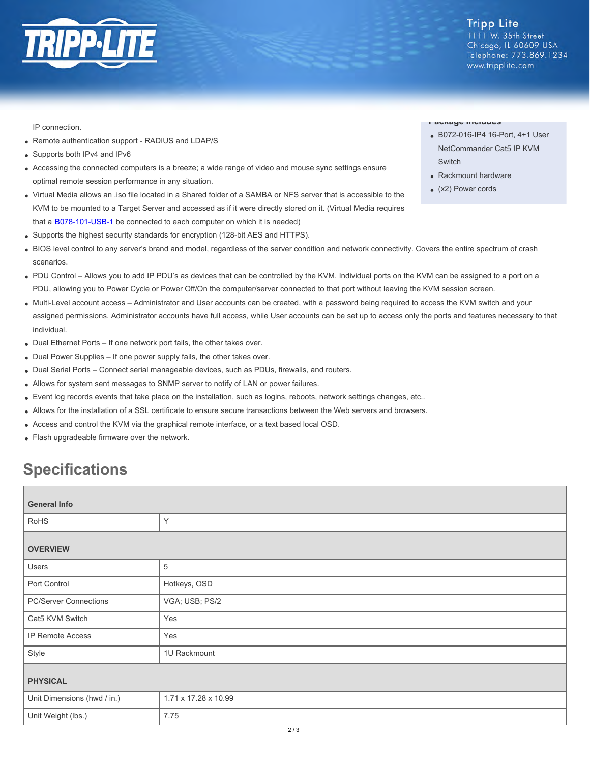

IP connection.

- Remote authentication support RADIUS and LDAP/S
- Supports both IPv4 and IPv6  $\bullet$
- Accessing the connected computers is a breeze; a wide range of video and mouse sync settings ensure optimal remote session performance in any situation.
- Virtual Media allows an .iso file located in a Shared folder of a SAMBA or NFS server that is accessible to the KVM to be mounted to a Target Server and accessed as if it were directly stored on it. (Virtual Media requires that a [B078-101-USB-1](http://www.tripplite.com/en/products/model.cfm?txtmodelid=5686) be connected to each computer on which it is needed)
- Supports the highest security standards for encryption (128-bit AES and HTTPS).
- BIOS level control to any server's brand and model, regardless of the server condition and network connectivity. Covers the entire spectrum of crash scenarios.
- PDU Control Allows you to add IP PDU's as devices that can be controlled by the KVM. Individual ports on the KVM can be assigned to a port on a PDU, allowing you to Power Cycle or Power Off/On the computer/server connected to that port without leaving the KVM session screen.
- Multi-Level account access Administrator and User accounts can be created, with a password being required to access the KVM switch and your assigned permissions. Administrator accounts have full access, while User accounts can be set up to access only the ports and features necessary to that individual.
- Dual Ethernet Ports If one network port fails, the other takes over.
- Dual Power Supplies If one power supply fails, the other takes over.
- Dual Serial Ports Connect serial manageable devices, such as PDUs, firewalls, and routers.
- Allows for system sent messages to SNMP server to notify of LAN or power failures.
- Event log records events that take place on the installation, such as logins, reboots, network settings changes, etc..
- Allows for the installation of a SSL certificate to ensure secure transactions between the Web servers and browsers.
- Access and control the KVM via the graphical remote interface, or a text based local OSD.
- Flash upgradeable firmware over the network.

# **Specifications**

| <b>General Info</b>          |                      |  |
|------------------------------|----------------------|--|
| <b>RoHS</b>                  | Y                    |  |
| <b>OVERVIEW</b>              |                      |  |
| Users                        | 5                    |  |
| Port Control                 | Hotkeys, OSD         |  |
| <b>PC/Server Connections</b> | VGA; USB; PS/2       |  |
| Cat5 KVM Switch              | Yes                  |  |
| IP Remote Access             | Yes                  |  |
| Style                        | 1U Rackmount         |  |
| <b>PHYSICAL</b>              |                      |  |
| Unit Dimensions (hwd / in.)  | 1.71 x 17.28 x 10.99 |  |
| Unit Weight (lbs.)           | 7.75                 |  |

#### **Package Includes**

- B072-016-IP4 16-Port, 4+1 User NetCommander Cat5 IP KVM **Switch**
- Rackmount hardware
- (x2) Power cords